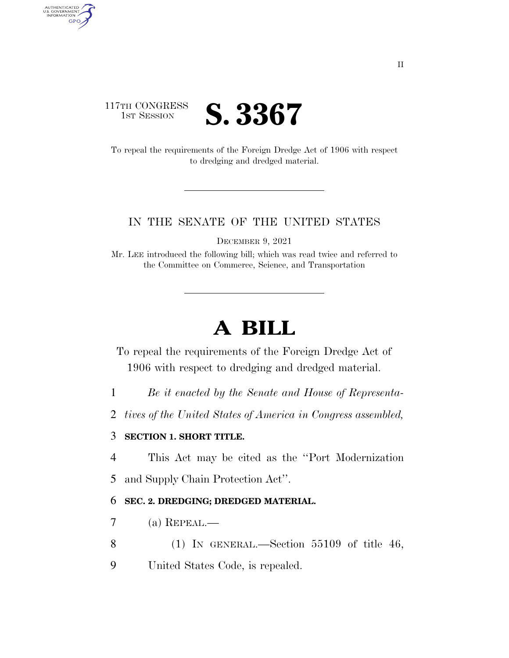

AUTHENTICATED<br>U.S. GOVERNMENT<br>INFORMATION

**GPO** 

To repeal the requirements of the Foreign Dredge Act of 1906 with respect to dredging and dredged material.

## IN THE SENATE OF THE UNITED STATES

DECEMBER 9, 2021

Mr. LEE introduced the following bill; which was read twice and referred to the Committee on Commerce, Science, and Transportation

## **A BILL**

To repeal the requirements of the Foreign Dredge Act of 1906 with respect to dredging and dredged material.

- 1 *Be it enacted by the Senate and House of Representa-*
- 2 *tives of the United States of America in Congress assembled,*

## 3 **SECTION 1. SHORT TITLE.**

4 This Act may be cited as the ''Port Modernization

5 and Supply Chain Protection Act''.

## 6 **SEC. 2. DREDGING; DREDGED MATERIAL.**

- 7 (a) REPEAL.—
- 8 (1) IN GENERAL.—Section 55109 of title 46,
- 9 United States Code, is repealed.